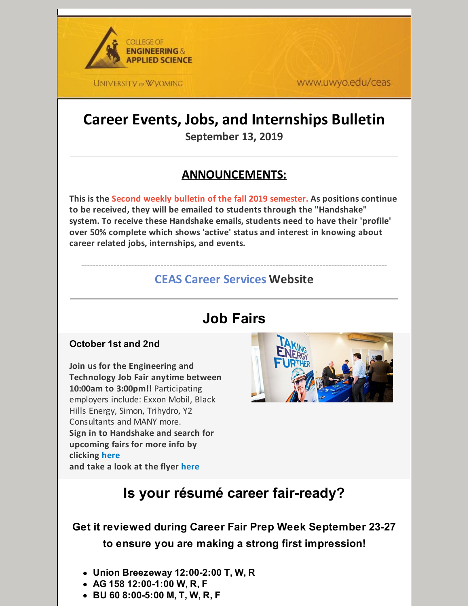

www.uwyo.edu/ceas

# **Career Events, Jobs, and Internships Bulletin**

**September 13, 2019**

### **ANNOUNCEMENTS:**

**This is the Second weekly bulletin of the fall 2019 semester. As positions continue to be received, they will be emailed to students through the "Handshake" system. To receive these Handshake emails, students need to have their 'profile' over 50% complete which shows 'active' status and interest in knowing about career related jobs, internships, and events.**

#### -------------------------------------------------------------------------------------------------------- **CEAS Career [Services](http://www.uwyo.edu/ceas/resources/studentservices/jobs/index.html) Website**

# **Job Fairs**

#### **October 1st and 2nd**

**Join us for the Engineering and Technology Job Fair anytime between 10:00am to 3:00pm!!** Participating employers include: Exxon Mobil, Black Hills Energy, Simon, Trihydro, Y2 Consultants and MANY more. **Sign in to Handshake and search for upcoming fairs for more info by clicking [here](http://www.uwyo.edu/aces/career-services/handshake.html) and take a look at the flyer [here](https://files.constantcontact.com/b2624f04701/eb6781d0-a9c6-4e55-8c80-6837e1c331cd.pdf)**



# **Is your résumé career fair-ready?**

### **Get it reviewed during Career Fair Prep Week September 23-27 to ensure you are making a strong first impression!**

- **Union Breezeway 12:00-2:00 T, W, R**
- **AG 158 12:00-1:00 W, R, F**
- **BU 60 8:00-5:00 M, T, W, R, F**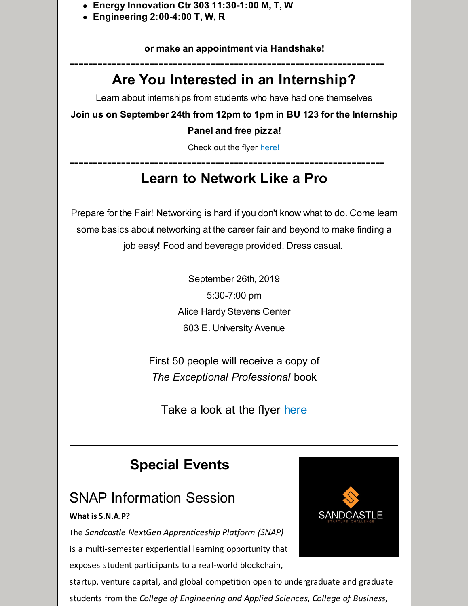- **Energy Innovation Ctr 303 11:30-1:00 M, T, W**
- **Engineering 2:00-4:00 T, W, R**

**or make an appointment via Handshake!**

## ------------------------------------------------------------------- **Are You Interested in an Internship?**

Learn about internships from students who have had one themselves

**Join us on September 24th from 12pm to 1pm in BU 123 for the Internship**

#### **Panel and free pizza!**

Check out the flyer [here!](https://files.constantcontact.com/b2624f04701/0537d7de-f8f5-4c8a-ba1a-efb7978a6685.pdf)

### ------------------------------------------------------------------- **Learn to Network Like a Pro**

Prepare for the Fair! Networking is hard if you don't know what to do. Come learn some basics about networking at the career fair and beyond to make finding a job easy! Food and beverage provided. Dress casual.

> September 26th, 2019 5:30-7:00 pm Alice Hardy Stevens Center 603 E. University Avenue

First 50 people will receive a copy of *The Exceptional Professional* book

Take a look at the flyer [here](https://files.constantcontact.com/b2624f04701/dff65c21-4205-485c-975c-a2a6fdc74a0c.pdf)

# **Special Events**

## SNAP Information Session

#### **What is S.N.A.P?**

The *Sandcastle NextGen Apprenticeship Platform (SNAP)* is a multi-semester experiential learning opportunity that exposes student participants to a real-world blockchain,

startup, venture capital, and global competition open to undergraduate and graduate students from the *College of Engineering and Applied Sciences*, *College of Business*,

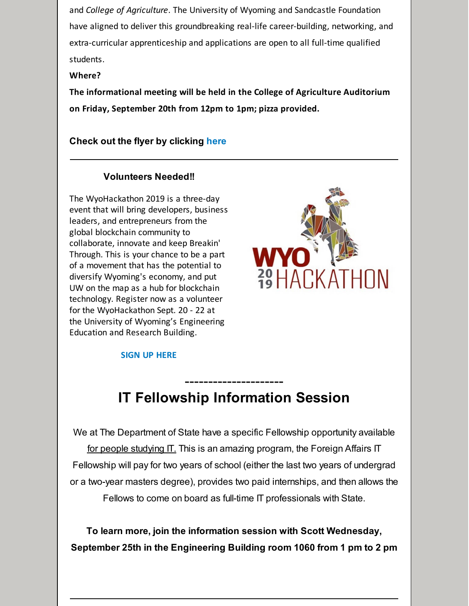and *College of Agriculture*. The University of Wyoming and Sandcastle Foundation have aligned to deliver this groundbreaking real-life career-building, networking, and extra-curricular apprenticeship and applications are open to all full-time qualified students.

#### **Where?**

**The informational meeting will be held in the College of Agriculture Auditorium on Friday, September 20th from 12pm to 1pm; pizza provided.**

#### **Check out the flyer by clicking [here](https://files.constantcontact.com/b2624f04701/e0f10854-0f5e-46d8-9c55-dde6617ef82a.pdf)**

#### **Volunteers Needed!!**

The WyoHackathon 2019 is a three-day event that will bring developers, business leaders, and entrepreneurs from the global blockchain community to collaborate, innovate and keep Breakin' Through. This is your chance to be a part of a movement that has the potential to diversify Wyoming's economy, and put UW on the map as a hub for blockchain technology. Register now as a volunteer for the WyoHackathon Sept. 20 - 22 at the University of Wyoming's Engineering Education and Research Building.



#### **SIGN UP [HERE](https://docs.google.com/forms/d/e/1FAIpQLSeg4HCPB0JsNCpZRyRfnZyGPHYM7avS_EoWLTuckkFFEL4RFA/viewform)**

# **IT Fellowship Information Session**

---------------------

We at The Department of State have a specific Fellowship opportunity available for people studying IT. This is an amazing program, the Foreign Affairs IT Fellowship will pay for two years of school (either the last two years of undergrad or a two-year masters degree), provides two paid internships, and then allows the Fellows to come on board as full-time IT professionals with State.

**To learn more, join the information session with Scott Wednesday, September 25th in the Engineering Building room 1060 from 1 pm to 2 pm**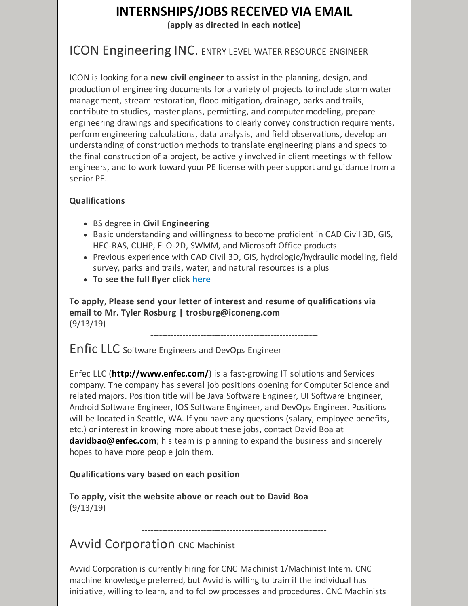### **INTERNSHIPS/JOBS RECEIVED VIA EMAIL**

**(apply as directed in each notice)**

### ICON Engineering INC. ENTRY LEVEL WATER RESOURCE ENGINEER

ICON is looking for a **new civil engineer** to assist in the planning, design, and production of engineering documents for a variety of projects to include storm water management, stream restoration, flood mitigation, drainage, parks and trails, contribute to studies, master plans, permitting, and computer modeling, prepare engineering drawings and specifications to clearly convey construction requirements, perform engineering calculations, data analysis, and field observations, develop an understanding of construction methods to translate engineering plans and specs to the final construction of a project, be actively involved in client meetings with fellow engineers, and to work toward your PE license with peer support and guidance from a senior PE.

#### **Qualifications**

- BS degree in **Civil Engineering**
- Basic understanding and willingness to become proficient in CAD Civil 3D, GIS, HEC-RAS, CUHP, FLO-2D, SWMM, and Microsoft Office products
- Previous experience with CAD Civil 3D, GIS, hydrologic/hydraulic modeling, field survey, parks and trails, water, and natural resources is a plus
- **To see the full flyer click [here](https://files.constantcontact.com/b2624f04701/0f436f17-98e3-4456-b69b-c63025c4fa58.pdf)**

**To apply, Please send your letter of interest and resume of qualifications via email to Mr. Tyler Rosburg | trosburg@iconeng.com** (9/13/19)

---------------------------------------------------------

Enfic LLC Software Engineers and DevOps Engineer

Enfec LLC (**<http://www.enfec.com/>**) is a fast-growing IT solutions and Services company. The company has several job positions opening for Computer Science and related majors. Position title will be Java Software Engineer, UI Software Engineer, Android Software Engineer, IOS Software Engineer, and DevOps Engineer. Positions will be located in Seattle, WA. If you have any questions (salary, employee benefits, etc.) or interest in knowing more about these jobs, contact David Boa at **[davidbao@enfec.com](mailto:davidbao@enfec.com)**; his team is planning to expand the business and sincerely hopes to have more people join them.

#### **Qualifications vary based on each position**

**To apply, visit the website above or reach out to David Boa** (9/13/19)

### **Avvid Corporation CNC Machinist**

Avvid Corporation is currently hiring for CNC Machinist 1/Machinist Intern. CNC machine knowledge preferred, but Avvid is willing to train if the individual has initiative, willing to learn, and to follow processes and procedures. CNC Machinists

---------------------------------------------------------------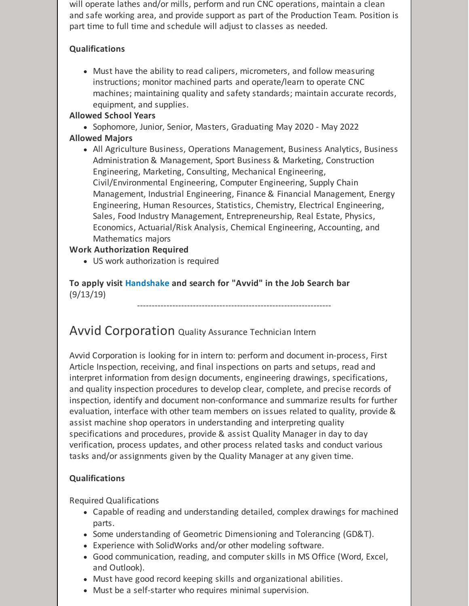will operate lathes and/or mills, perform and run CNC operations, maintain a clean and safe working area, and provide support as part of the Production Team. Position is part time to full time and schedule will adjust to classes as needed.

#### **Qualifications**

Must have the ability to read calipers, micrometers, and follow measuring instructions; monitor machined parts and operate/learn to operate CNC machines; maintaining quality and safety standards; maintain accurate records, equipment, and supplies.

#### **Allowed School Years**

• Sophomore, Junior, Senior, Masters, Graduating May 2020 - May 2022

#### **Allowed Majors**

All Agriculture Business, Operations Management, Business Analytics, Business Administration & Management, Sport Business & Marketing, Construction Engineering, Marketing, Consulting, Mechanical Engineering, Civil/Environmental Engineering, Computer Engineering, Supply Chain Management, Industrial Engineering, Finance & Financial Management, Energy Engineering, Human Resources, Statistics, Chemistry, Electrical Engineering, Sales, Food Industry Management, Entrepreneurship, Real Estate, Physics, Economics, Actuarial/Risk Analysis, Chemical Engineering, Accounting, and Mathematics majors

#### **Work Authorization Required**

US work authorization is required

**To apply visit [Handshake](http://www.uwyo.edu/aces/career-services/handshake.html) and search for "Avvid" in the Job Search bar** (9/13/19)

### Avvid Corporation Quality Assurance Technician Intern

Avvid Corporation is looking for in intern to: perform and document in-process, First Article Inspection, receiving, and final inspections on parts and setups, read and interpret information from design documents, engineering drawings, specifications, and quality inspection procedures to develop clear, complete, and precise records of inspection, identify and document non-conformance and summarize results for further evaluation, interface with other team members on issues related to quality, provide & assist machine shop operators in understanding and interpreting quality specifications and procedures, provide & assist Quality Manager in day to day verification, process updates, and other process related tasks and conduct various tasks and/or assignments given by the Quality Manager at any given time.

------------------------------------------------------------------

#### **Qualifications**

#### Required Qualifications

- Capable of reading and understanding detailed, complex drawings for machined parts.
- Some understanding of Geometric Dimensioning and Tolerancing (GD&T).
- Experience with SolidWorks and/or other modeling software.
- Good communication, reading, and computer skills in MS Office (Word, Excel, and Outlook).
- Must have good record keeping skills and organizational abilities.
- Must be a self-starter who requires minimal supervision.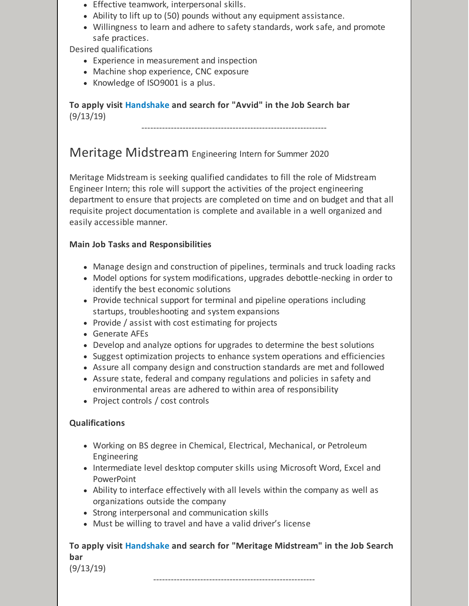- Effective teamwork, interpersonal skills.
- Ability to lift up to (50) pounds without any equipment assistance.
- Willingness to learn and adhere to safety standards, work safe, and promote safe practices.

Desired qualifications

- Experience in measurement and inspection
- Machine shop experience, CNC exposure
- Knowledge of ISO9001 is a plus.

**To apply visit [Handshake](http://www.uwyo.edu/aces/career-services/handshake.html) and search for "Avvid" in the Job Search bar** (9/13/19)

---------------------------------------------------------------

### Meritage Midstream Engineering Intern for Summer <sup>2020</sup>

Meritage Midstream is seeking qualified candidates to fill the role of Midstream Engineer Intern; this role will support the activities of the project engineering department to ensure that projects are completed on time and on budget and that all requisite project documentation is complete and available in a well organized and easily accessible manner.

#### **Main Job Tasks and Responsibilities**

- Manage design and construction of pipelines, terminals and truck loading racks
- Model options for system modifications, upgrades debottle-necking in order to identify the best economic solutions
- Provide technical support for terminal and pipeline operations including startups, troubleshooting and system expansions
- Provide / assist with cost estimating for projects
- Generate AFEs
- Develop and analyze options for upgrades to determine the best solutions
- Suggest optimization projects to enhance system operations and efficiencies
- Assure all company design and construction standards are met and followed
- Assure state, federal and company regulations and policies in safety and environmental areas are adhered to within area of responsibility
- Project controls / cost controls

#### **Qualifications**

- Working on BS degree in Chemical, Electrical, Mechanical, or Petroleum Engineering
- Intermediate level desktop computer skills using Microsoft Word, Excel and **PowerPoint**
- Ability to interface effectively with all levels within the company as well as organizations outside the company
- Strong interpersonal and communication skills
- Must be willing to travel and have a valid driver's license

**To apply visit [Handshake](http://www.uwyo.edu/aces/career-services/handshake.html) and search for "Meritage Midstream" in the Job Search bar**

-------------------------------------------------------

(9/13/19)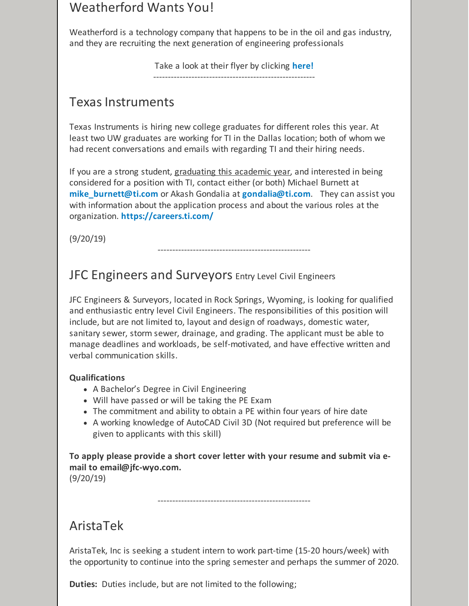### Weatherford Wants You!

Weatherford is a technology company that happens to be in the oil and gas industry, and they are recruiting the next generation of engineering professionals

Take a look at their flyer by clicking **[here!](https://files.constantcontact.com/b2624f04701/c972ccd9-700f-4ae6-b113-8c2e6dac431e.pdf)**

-------------------------------------------------------

### Texas Instruments

Texas Instruments is hiring new college graduates for different roles this year. At least two UW graduates are working for TI in the Dallas location; both of whom we had recent conversations and emails with regarding TI and their hiring needs.

If you are a strong student, graduating this academic year, and interested in being considered for a position with TI, contact either (or both) Michael Burnett at **[mike\\_burnett@ti.com](mailto:mike_burnett@ti.com)** or Akash Gondalia at **[gondalia@ti.com](mailto:gondalia@ti.com)**. They can assist you with information about the application process and about the various roles at the organization. **<https://careers.ti.com/>**

(9/20/19)

----------------------------------------------------

### JFC Engineers and Surveyors Entry Level Civil Engineers

JFC Engineers & Surveyors, located in Rock Springs, Wyoming, is looking for qualified and enthusiastic entry level Civil Engineers. The responsibilities of this position will include, but are not limited to, layout and design of roadways, domestic water, sanitary sewer, storm sewer, drainage, and grading. The applicant must be able to manage deadlines and workloads, be self-motivated, and have effective written and verbal communication skills.

#### **Qualifications**

- A Bachelor's Degree in Civil Engineering
- Will have passed or will be taking the PE Exam
- The commitment and ability to obtain a PE within four years of hire date
- A working knowledge of AutoCAD Civil 3D (Not required but preference will be given to applicants with this skill)

**To apply please provide a short cover letter with your resume and submit via email to email@jfc-wyo.com.** (9/20/19)

----------------------------------------------------

### AristaTek

AristaTek, Inc is seeking a student intern to work part-time (15-20 hours/week) with the opportunity to continue into the spring semester and perhaps the summer of 2020.

**Duties:** Duties include, but are not limited to the following;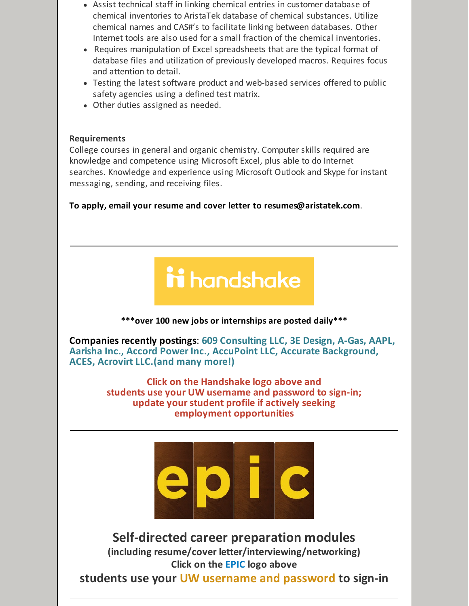- Assist technical staff in linking chemical entries in customer database of chemical inventories to AristaTek database of chemical substances. Utilize chemical names and CAS#'s to facilitate linking between databases. Other Internet tools are also used for a small fraction of the chemical inventories.
- Requires manipulation of Excel spreadsheets that are the typical format of database files and utilization of previously developed macros. Requires focus and attention to detail.
- Testing the latest software product and web-based services offered to public safety agencies using a defined test matrix.
- Other duties assigned as needed.

#### **Requirements**

College courses in general and organic chemistry. Computer skills required are knowledge and competence using Microsoft Excel, plus able to do Internet searches. Knowledge and experience using Microsoft Outlook and Skype for instant messaging, sending, and receiving files.

**To apply, email your resume and cover letter to [resumes@aristatek.com](mailto:resumes@aristatek.com)**.

# ii handshake

**\*\*\*over 100 new jobs or internships are posted daily\*\*\***

**Companies recently postings**: **609 Consulting LLC, 3E Design, A-Gas, AAPL, Aarisha Inc., Accord Power Inc., AccuPoint LLC, Accurate Background, ACES, Acrovirt LLC.(and many more!)**

> **Click on the [Handshake](http://www.uwyo.edu/aces/career-services/handshake.html) logo above and students use your UW username and password to sign-in; update your student profile if actively seeking employment opportunities**



**Self-directed career preparation modules (including resume/cover letter/interviewing/networking) Click on the [EPIC](http://www.uwyo.edu/aces/epic.html) logo above**

**students use your UW username and password to sign-in**